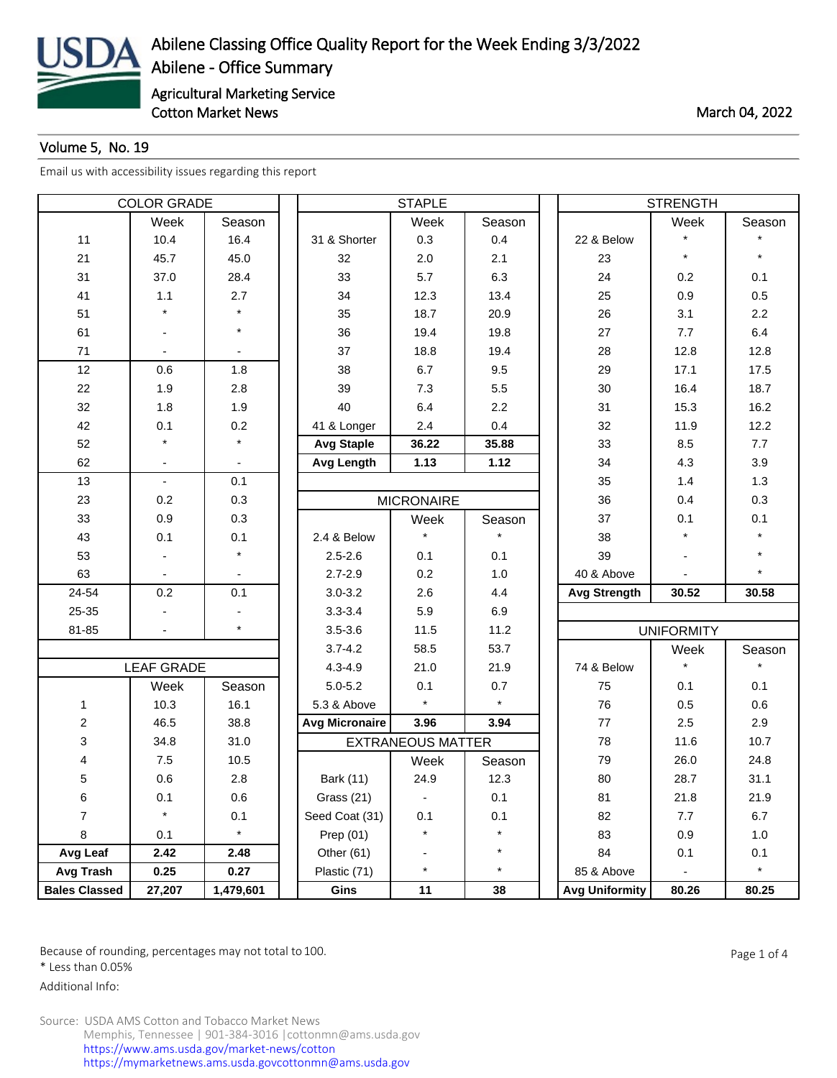

## Volume 5, No. 19

[Email us with accessibility issues regarding this report](mailto:mars@ams.usda.gov)

| <b>COLOR GRADE</b>   |                   |           | <b>STAPLE</b>         |                          |         |  | <b>STRENGTH</b>       |                   |         |  |
|----------------------|-------------------|-----------|-----------------------|--------------------------|---------|--|-----------------------|-------------------|---------|--|
|                      | Week              | Season    |                       | Week                     | Season  |  |                       | Week              | Season  |  |
| 11                   | 10.4              | 16.4      | 31 & Shorter          | 0.3                      | 0.4     |  | 22 & Below            | $\star$           |         |  |
| 21                   | 45.7              | 45.0      | 32                    | 2.0                      | 2.1     |  | 23                    | $\star$           |         |  |
| 31                   | 37.0              | 28.4      | 33                    | 5.7                      | 6.3     |  | 24                    | 0.2               | 0.1     |  |
| 41                   | 1.1               | 2.7       | 34                    | 12.3                     | 13.4    |  | 25                    | 0.9               | 0.5     |  |
| 51                   |                   |           | 35                    | 18.7                     | 20.9    |  | 26                    | 3.1               | 2.2     |  |
| 61                   |                   | $\star$   | 36                    | 19.4                     | 19.8    |  | 27                    | 7.7               | 6.4     |  |
| 71                   |                   |           | 37                    | 18.8                     | 19.4    |  | 28                    | 12.8              | 12.8    |  |
| 12                   | 0.6               | 1.8       | 38                    | 6.7                      | 9.5     |  | 29                    | 17.1              | 17.5    |  |
| 22                   | 1.9               | 2.8       | 39                    | 7.3                      | 5.5     |  | 30                    | 16.4              | 18.7    |  |
| 32                   | 1.8               | 1.9       | 40                    | 6.4                      | 2.2     |  | 31                    | 15.3              | 16.2    |  |
| 42                   | 0.1               | 0.2       | 41 & Longer           | 2.4                      | 0.4     |  | 32                    | 11.9              | 12.2    |  |
| 52                   |                   |           | <b>Avg Staple</b>     | 36.22                    | 35.88   |  | 33                    | 8.5               | 7.7     |  |
| 62                   |                   |           | <b>Avg Length</b>     | 1.13                     | 1.12    |  | 34                    | 4.3               | 3.9     |  |
| 13                   | $\blacksquare$    | 0.1       |                       |                          |         |  | 35                    | 1.4               | 1.3     |  |
| 23                   | 0.2               | 0.3       |                       | <b>MICRONAIRE</b>        |         |  | 36                    | 0.4               | 0.3     |  |
| 33                   | 0.9               | 0.3       |                       | Week                     | Season  |  | 37                    | 0.1               | 0.1     |  |
| 43                   | 0.1               | 0.1       | 2.4 & Below           |                          |         |  | 38                    |                   |         |  |
| 53                   |                   | $\star$   | $2.5 - 2.6$           | 0.1                      | 0.1     |  | 39                    |                   |         |  |
| 63                   |                   |           | $2.7 - 2.9$           | 0.2                      | 1.0     |  | 40 & Above            |                   |         |  |
| 24-54                | 0.2               | 0.1       | $3.0 - 3.2$           | 2.6                      | 4.4     |  | <b>Avg Strength</b>   | 30.52             | 30.58   |  |
| 25-35                |                   |           | $3.3 - 3.4$           | 5.9                      | 6.9     |  |                       |                   |         |  |
| 81-85                |                   | $\star$   | $3.5 - 3.6$           | 11.5                     | 11.2    |  |                       | <b>UNIFORMITY</b> |         |  |
|                      |                   |           | $3.7 - 4.2$           | 58.5                     | 53.7    |  |                       | Week              | Season  |  |
|                      | <b>LEAF GRADE</b> |           | $4.3 - 4.9$           | 21.0                     | 21.9    |  | 74 & Below            | $\star$           |         |  |
|                      | Week              | Season    | $5.0 - 5.2$           | 0.1                      | 0.7     |  | 75                    | 0.1               | 0.1     |  |
| 1                    | 10.3              | 16.1      | 5.3 & Above           | $\star$                  | $\star$ |  | 76                    | 0.5               | 0.6     |  |
| $\overline{c}$       | 46.5              | 38.8      | <b>Avg Micronaire</b> | 3.96                     | 3.94    |  | 77                    | 2.5               | 2.9     |  |
| 3                    | 34.8              | 31.0      |                       | <b>EXTRANEOUS MATTER</b> |         |  | 78                    | 11.6              | 10.7    |  |
| 4                    | 7.5               | 10.5      |                       | Week                     | Season  |  | 79                    | 26.0              | 24.8    |  |
| 5                    | 0.6               | 2.8       | Bark (11)             | 24.9                     | 12.3    |  | 80                    | 28.7              | 31.1    |  |
| 6                    | 0.1               | 0.6       | Grass (21)            | ۰                        | 0.1     |  | 81                    | 21.8              | 21.9    |  |
| $\overline{7}$       | $\star$           | 0.1       | Seed Coat (31)        | 0.1                      | 0.1     |  | 82                    | 7.7               | 6.7     |  |
| 8                    | 0.1               | $\star$   | Prep (01)             | $\star$                  | $\star$ |  | 83                    | 0.9               | 1.0     |  |
| Avg Leaf             | 2.42              | 2.48      | Other $(61)$          |                          | $\star$ |  | 84                    | 0.1               | 0.1     |  |
| Avg Trash            | 0.25              | 0.27      | Plastic (71)          | $\star$                  | $\star$ |  | 85 & Above            |                   | $\star$ |  |
| <b>Bales Classed</b> | 27,207            | 1,479,601 | Gins                  | 11                       | 38      |  | <b>Avg Uniformity</b> | 80.26             | 80.25   |  |

Because of rounding, percentages may not total to 100. And the set of the set of 4 and the Page 1 of 4

\* Less than 0.05%

Additional Info: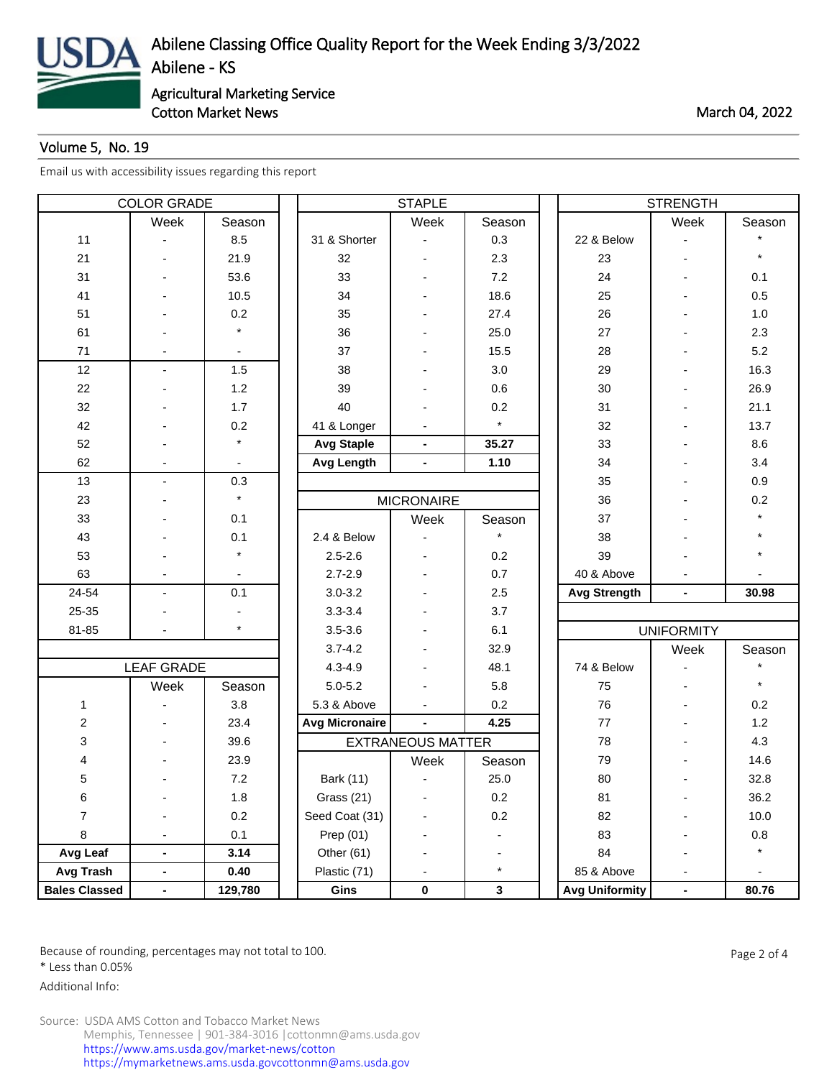

Cotton Market News **March 04, 2022** 

## Volume 5, No. 19

[Email us with accessibility issues regarding this report](mailto:mars@ams.usda.gov)

| <b>COLOR GRADE</b>   |                          |             | <b>STAPLE</b>         |                              |         |  | <b>STRENGTH</b>       |                          |          |  |
|----------------------|--------------------------|-------------|-----------------------|------------------------------|---------|--|-----------------------|--------------------------|----------|--|
|                      | Week                     | Season      |                       | Week                         | Season  |  |                       | Week                     | Season   |  |
| 11                   |                          | 8.5         | 31 & Shorter          |                              | 0.3     |  | 22 & Below            |                          |          |  |
| 21                   |                          | 21.9        | 32                    |                              | 2.3     |  | 23                    | $\overline{\phantom{0}}$ | $\star$  |  |
| 31                   |                          | 53.6        | 33                    |                              | 7.2     |  | 24                    |                          | 0.1      |  |
| 41                   |                          | 10.5        | 34                    |                              | 18.6    |  | 25                    |                          | 0.5      |  |
| 51                   |                          | 0.2         | 35                    |                              | 27.4    |  | 26                    |                          | 1.0      |  |
| 61                   |                          | $\star$     | 36                    |                              | 25.0    |  | 27                    |                          | 2.3      |  |
| 71                   |                          |             | 37                    |                              | 15.5    |  | 28                    |                          | 5.2      |  |
| 12                   | $\overline{\phantom{a}}$ | 1.5         | 38                    |                              | 3.0     |  | 29                    |                          | 16.3     |  |
| 22                   |                          | 1.2         | 39                    |                              | 0.6     |  | 30                    |                          | 26.9     |  |
| 32                   |                          | 1.7         | 40                    |                              | 0.2     |  | 31                    |                          | 21.1     |  |
| 42                   |                          | 0.2         | 41 & Longer           |                              | $\star$ |  | 32                    |                          | 13.7     |  |
| 52                   |                          | $\star$     | <b>Avg Staple</b>     | $\overline{\phantom{0}}$     | 35.27   |  | 33                    |                          | 8.6      |  |
| 62                   |                          |             | Avg Length            | $\overline{\phantom{0}}$     | 1.10    |  | 34                    |                          | 3.4      |  |
| 13                   | $\blacksquare$           | 0.3         |                       |                              |         |  | 35                    |                          | 0.9      |  |
| 23                   |                          | $\star$     |                       | <b>MICRONAIRE</b>            |         |  | 36                    |                          | 0.2      |  |
| 33                   |                          | 0.1         |                       | Week                         | Season  |  | 37                    |                          |          |  |
| 43                   |                          | 0.1         | 2.4 & Below           |                              |         |  | 38                    |                          |          |  |
| 53                   |                          | $\star$     | $2.5 - 2.6$           |                              | 0.2     |  | 39                    |                          |          |  |
| 63                   |                          |             | $2.7 - 2.9$           |                              | 0.7     |  | 40 & Above            |                          |          |  |
| 24-54                | $\blacksquare$           | 0.1         | $3.0 - 3.2$           |                              | 2.5     |  | <b>Avg Strength</b>   | $\blacksquare$           | 30.98    |  |
| 25-35                |                          |             | $3.3 - 3.4$           |                              | 3.7     |  |                       |                          |          |  |
| 81-85                |                          | $\star$     | $3.5 - 3.6$           |                              | 6.1     |  |                       | <b>UNIFORMITY</b>        |          |  |
|                      |                          | $3.7 - 4.2$ |                       | 32.9                         |         |  | Week                  | Season                   |          |  |
|                      | <b>LEAF GRADE</b>        |             | $4.3 - 4.9$           |                              | 48.1    |  | 74 & Below            |                          |          |  |
|                      | Week                     | Season      | $5.0 - 5.2$           |                              | 5.8     |  | 75                    |                          |          |  |
| $\mathbf{1}$         |                          | 3.8         | 5.3 & Above           |                              | 0.2     |  | 76                    |                          | 0.2      |  |
| $\boldsymbol{2}$     |                          | 23.4        | <b>Avg Micronaire</b> | $\blacksquare$               | 4.25    |  | 77                    |                          | 1.2      |  |
| 3                    |                          | 39.6        |                       | <b>EXTRANEOUS MATTER</b>     |         |  | 78                    |                          | 4.3      |  |
| 4                    |                          | 23.9        |                       | Week                         | Season  |  | 79                    |                          | 14.6     |  |
| 5                    |                          | 7.2         | <b>Bark (11)</b>      |                              | 25.0    |  | 80                    |                          | 32.8     |  |
| 6                    |                          | 1.8         | Grass (21)            |                              | 0.2     |  | 81                    |                          | 36.2     |  |
| $\overline{7}$       |                          | 0.2         | Seed Coat (31)        |                              | 0.2     |  | 82                    |                          | 10.0     |  |
| 8                    | $\blacksquare$           | 0.1         | Prep (01)             |                              |         |  | 83                    |                          | $0.8\,$  |  |
| Avg Leaf             | $\blacksquare$           | 3.14        | Other (61)            |                              | ٠       |  | 84                    | ٠                        | $^\star$ |  |
| Avg Trash            | $\blacksquare$           | 0.40        | Plastic (71)          | $\qquad \qquad \blacksquare$ | $\star$ |  | 85 & Above            |                          |          |  |
| <b>Bales Classed</b> | $\blacksquare$           | 129,780     | Gins                  | 0                            | 3       |  | <b>Avg Uniformity</b> | ۰                        | 80.76    |  |

Because of rounding, percentages may not total to 100. Page 2 of 4

\* Less than 0.05%

Additional Info: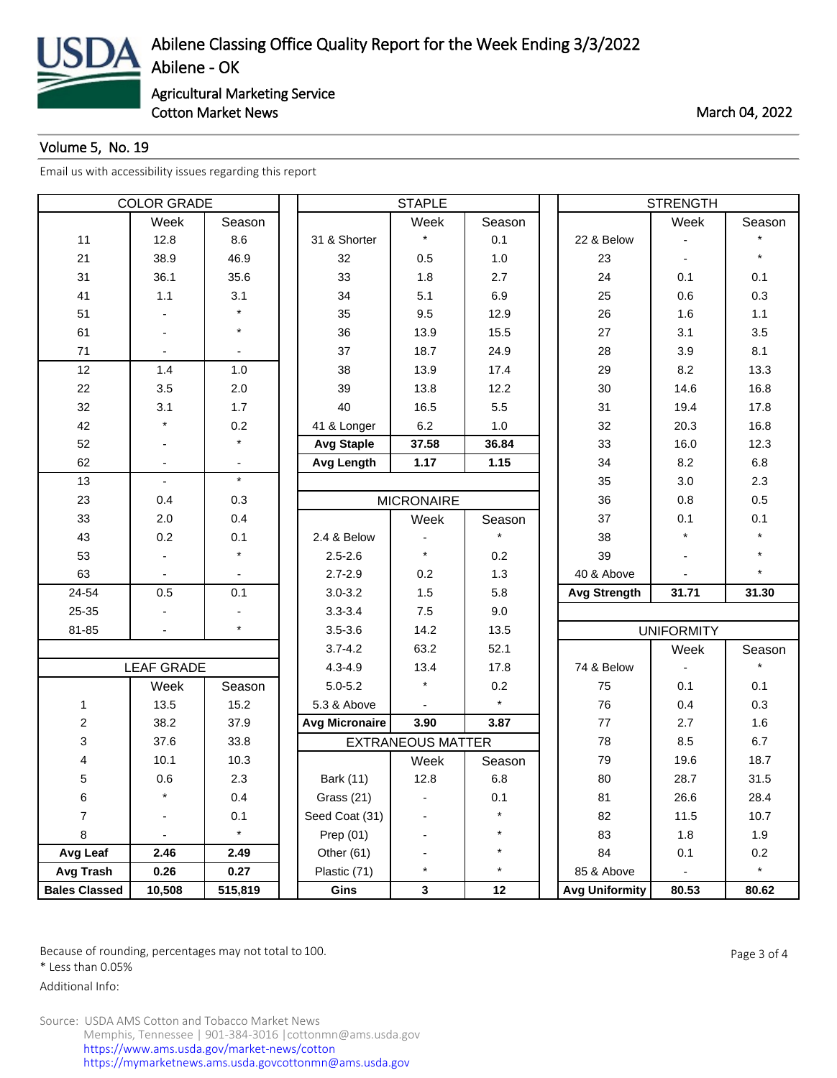

Cotton Market News **March 04, 2022** 

## Volume 5, No. 19

[Email us with accessibility issues regarding this report](mailto:mars@ams.usda.gov)

| <b>COLOR GRADE</b>   |                   |         |                       | <b>STAPLE</b>            |         | <b>STRENGTH</b>       |                   |         |  |
|----------------------|-------------------|---------|-----------------------|--------------------------|---------|-----------------------|-------------------|---------|--|
|                      | Week              | Season  |                       | Week                     | Season  |                       | Week              | Season  |  |
| 11                   | 12.8              | 8.6     | 31 & Shorter          | $\star$                  | 0.1     | 22 & Below            |                   |         |  |
| 21                   | 38.9              | 46.9    | 32                    | 0.5                      | 1.0     | 23                    |                   |         |  |
| 31                   | 36.1              | 35.6    | 33                    | 1.8                      | 2.7     | 24                    | 0.1               | 0.1     |  |
| 41                   | 1.1               | 3.1     | 34                    | 5.1                      | 6.9     | 25                    | 0.6               | 0.3     |  |
| 51                   |                   |         | 35                    | 9.5                      | 12.9    | 26                    | 1.6               | 1.1     |  |
| 61                   |                   | $\star$ | 36                    | 13.9                     | 15.5    | 27                    | 3.1               | 3.5     |  |
| 71                   |                   |         | 37                    | 18.7                     | 24.9    | 28                    | 3.9               | 8.1     |  |
| 12                   | 1.4               | $1.0$   | 38                    | 13.9                     | 17.4    | 29                    | 8.2               | 13.3    |  |
| 22                   | 3.5               | 2.0     | 39                    | 13.8                     | 12.2    | 30                    | 14.6              | 16.8    |  |
| 32                   | 3.1               | 1.7     | 40                    | 16.5                     | 5.5     | 31                    | 19.4              | 17.8    |  |
| 42                   | $\star$           | 0.2     | 41 & Longer           | 6.2                      | 1.0     | 32                    | 20.3              | 16.8    |  |
| 52                   |                   |         | <b>Avg Staple</b>     | 37.58                    | 36.84   | 33                    | 16.0              | 12.3    |  |
| 62                   |                   |         | <b>Avg Length</b>     | 1.17                     | 1.15    | 34                    | 8.2               | $6.8\,$ |  |
| 13                   | $\blacksquare$    | $\star$ |                       |                          |         | 35                    | 3.0               | 2.3     |  |
| 23                   | 0.4               | 0.3     |                       | <b>MICRONAIRE</b>        |         | 36                    | 0.8               | 0.5     |  |
| 33                   | 2.0               | 0.4     |                       | Week                     | Season  | 37                    | 0.1               | 0.1     |  |
| 43                   | 0.2               | 0.1     | 2.4 & Below           |                          |         | 38                    |                   |         |  |
| 53                   |                   | $\star$ | $2.5 - 2.6$           | $\star$                  | 0.2     | 39                    |                   |         |  |
| 63                   |                   |         | $2.7 - 2.9$           | 0.2                      | 1.3     | 40 & Above            |                   |         |  |
| 24-54                | 0.5               | 0.1     | $3.0 - 3.2$           | 1.5                      | 5.8     | <b>Avg Strength</b>   | 31.71             | 31.30   |  |
| 25-35                |                   |         | $3.3 - 3.4$           | 7.5                      | 9.0     |                       |                   |         |  |
| 81-85                |                   | $\star$ | $3.5 - 3.6$           | 14.2                     | 13.5    |                       | <b>UNIFORMITY</b> |         |  |
|                      |                   |         | $3.7 - 4.2$           | 63.2                     | 52.1    |                       | Week              | Season  |  |
|                      | <b>LEAF GRADE</b> |         | $4.3 - 4.9$           | 13.4                     | 17.8    | 74 & Below            |                   |         |  |
|                      | Week              | Season  | $5.0 - 5.2$           | $\star$                  | 0.2     | 75                    | 0.1               | 0.1     |  |
| 1                    | 13.5              | 15.2    | 5.3 & Above           |                          | $\star$ | 76                    | 0.4               | 0.3     |  |
| $\overline{c}$       | 38.2              | 37.9    | <b>Avg Micronaire</b> | 3.90                     | 3.87    | 77                    | 2.7               | 1.6     |  |
| 3                    | 37.6              | 33.8    |                       | <b>EXTRANEOUS MATTER</b> |         | 78                    | 8.5               | 6.7     |  |
| 4                    | 10.1              | 10.3    |                       | Week                     | Season  | 79                    | 19.6              | 18.7    |  |
| 5                    | 0.6               | 2.3     | Bark (11)             | 12.8                     | 6.8     | 80                    | 28.7              | 31.5    |  |
| 6                    |                   | 0.4     | Grass (21)            |                          | 0.1     | 81                    | 26.6              | 28.4    |  |
| $\overline{7}$       |                   | 0.1     | Seed Coat (31)        |                          |         | 82                    | 11.5              | 10.7    |  |
| 8                    |                   | $\star$ | Prep (01)             |                          | $\star$ | 83                    | 1.8               | 1.9     |  |
| Avg Leaf             | 2.46              | 2.49    | Other (61)            |                          | $\star$ | 84                    | 0.1               | 0.2     |  |
| <b>Avg Trash</b>     | 0.26              | 0.27    | Plastic (71)          | $\star$                  | $\star$ | 85 & Above            |                   | $\star$ |  |
| <b>Bales Classed</b> | 10,508            | 515,819 | Gins                  | $\mathbf{3}$             | 12      | <b>Avg Uniformity</b> | 80.53             | 80.62   |  |

Because of rounding, percentages may not total to 100. And the set of the set of the Page 3 of 4

\* Less than 0.05%

Additional Info: